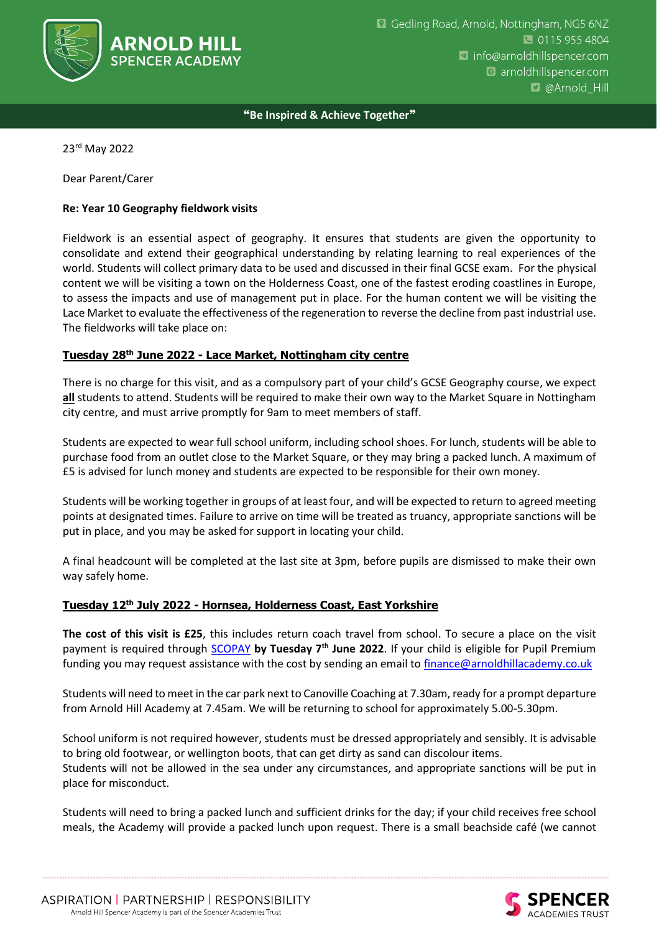

❝**Be Inspired & Achieve Together**❞

23rd May 2022

Dear Parent/Carer

### **Re: Year 10 Geography fieldwork visits**

Fieldwork is an essential aspect of geography. It ensures that students are given the opportunity to consolidate and extend their geographical understanding by relating learning to real experiences of the world. Students will collect primary data to be used and discussed in their final GCSE exam. For the physical content we will be visiting a town on the Holderness Coast, one of the fastest eroding coastlines in Europe, to assess the impacts and use of management put in place. For the human content we will be visiting the Lace Market to evaluate the effectiveness of the regeneration to reverse the decline from past industrial use. The fieldworks will take place on:

### **Tuesday 28th June 2022 - Lace Market, Nottingham city centre**

There is no charge for this visit, and as a compulsory part of your child's GCSE Geography course, we expect **all** students to attend. Students will be required to make their own way to the Market Square in Nottingham city centre, and must arrive promptly for 9am to meet members of staff.

Students are expected to wear full school uniform, including school shoes. For lunch, students will be able to purchase food from an outlet close to the Market Square, or they may bring a packed lunch. A maximum of £5 is advised for lunch money and students are expected to be responsible for their own money.

Students will be working together in groups of at least four, and will be expected to return to agreed meeting points at designated times. Failure to arrive on time will be treated as truancy, appropriate sanctions will be put in place, and you may be asked for support in locating your child.

A final headcount will be completed at the last site at 3pm, before pupils are dismissed to make their own way safely home.

### **Tuesday 12th July 2022 - Hornsea, Holderness Coast, East Yorkshire**

**The cost of this visit is £25**, this includes return coach travel from school. To secure a place on the visit payment is required through [SCOPAY](https://www.scopay.com/login.html) **by Tuesday 7th June 2022**. If your child is eligible for Pupil Premium funding you may request assistance with the cost by sending an email t[o finance@arnoldhillacademy.co.uk](mailto:finance@arnoldhillacademy.co.uk)

Students will need to meet in the car park next to Canoville Coaching at 7.30am, ready for a prompt departure from Arnold Hill Academy at 7.45am. We will be returning to school for approximately 5.00-5.30pm.

School uniform is not required however, students must be dressed appropriately and sensibly. It is advisable to bring old footwear, or wellington boots, that can get dirty as sand can discolour items. Students will not be allowed in the sea under any circumstances, and appropriate sanctions will be put in place for misconduct.

Students will need to bring a packed lunch and sufficient drinks for the day; if your child receives free school meals, the Academy will provide a packed lunch upon request. There is a small beachside café (we cannot